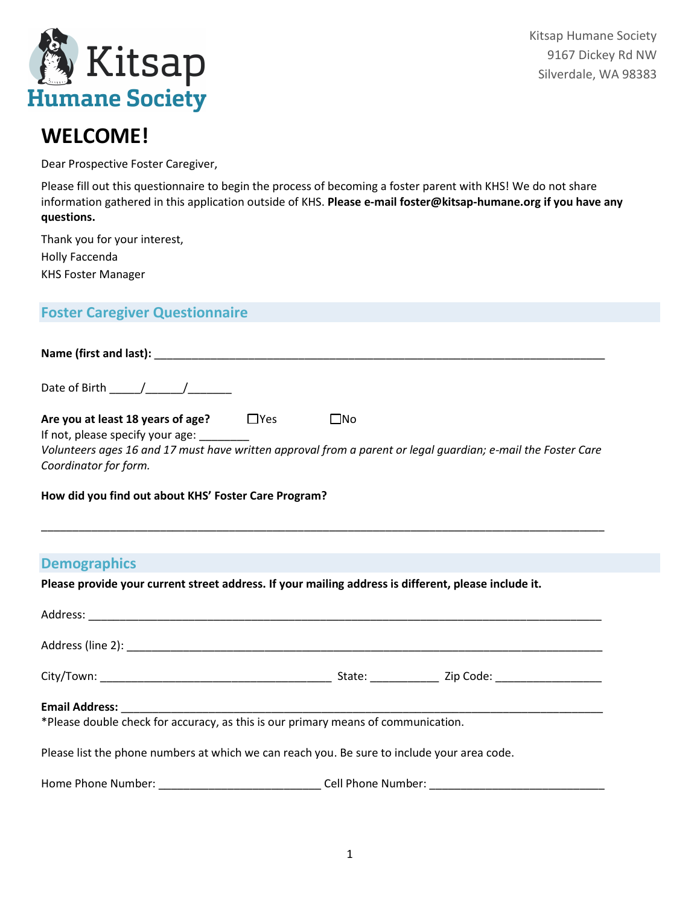

Kitsap Humane Society 9167 Dickey Rd NW Silverdale, WA 98383

# **WELCOME!**

Dear Prospective Foster Caregiver,

Please fill out this questionnaire to begin the process of becoming a foster parent with KHS! We do not share information gathered in this application outside of KHS. **Please e-mail foster@kitsap-humane.org if you have any questions.**

Thank you for your interest, Holly Faccenda KHS Foster Manager

# **Foster Caregiver Questionnaire**

| Name (first and last): ______                                         |            |                                                                                                              |
|-----------------------------------------------------------------------|------------|--------------------------------------------------------------------------------------------------------------|
| Date of Birth $\frac{1}{2}$ /                                         |            |                                                                                                              |
| Are you at least 18 years of age?<br>If not, please specify your age: | $\Box$ Yes | $\square$ No                                                                                                 |
| Coordinator for form.                                                 |            | Volunteers ages 16 and 17 must have written approval from a parent or legal quardian; e-mail the Foster Care |

\_\_\_\_\_\_\_\_\_\_\_\_\_\_\_\_\_\_\_\_\_\_\_\_\_\_\_\_\_\_\_\_\_\_\_\_\_\_\_\_\_\_\_\_\_\_\_\_\_\_\_\_\_\_\_\_\_\_\_\_\_\_\_\_\_\_\_\_\_\_\_\_\_\_\_\_\_\_\_\_\_\_\_\_\_\_\_\_\_\_

#### **How did you find out about KHS' Foster Care Program?**

# **Demographics**

**Please provide your current street address. If your mailing address is different, please include it.**

| *Please double check for accuracy, as this is our primary means of communication.           |                    |  |
|---------------------------------------------------------------------------------------------|--------------------|--|
| Please list the phone numbers at which we can reach you. Be sure to include your area code. |                    |  |
| Home Phone Number:                                                                          | Cell Phone Number: |  |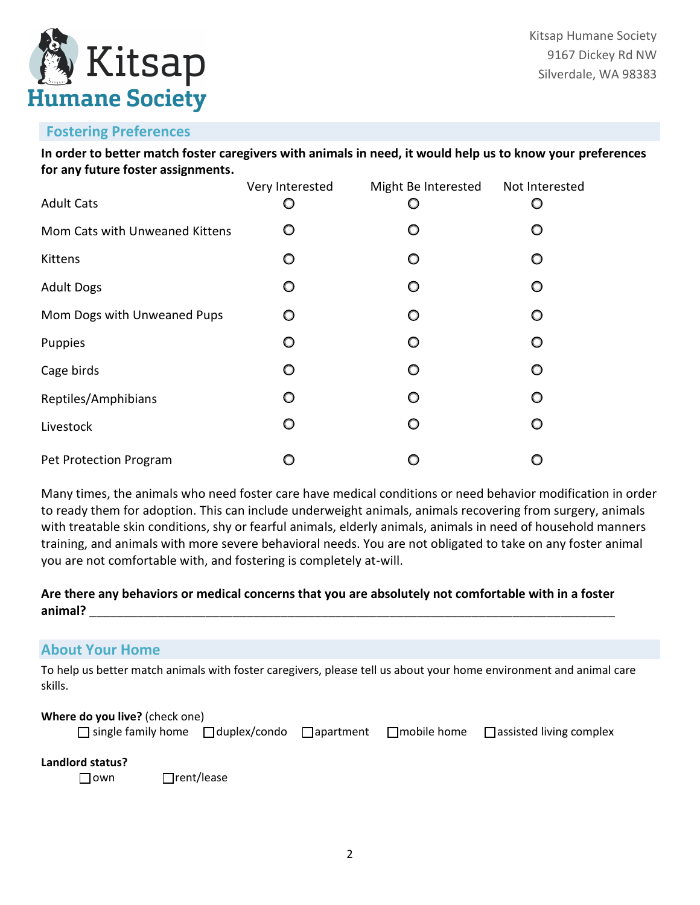

# **Fostering Preferences**

**In order to better match foster caregivers with animals in need, it would help us to know your preferences for any future foster assignments.**

| <b>Adult Cats</b>              | Very Interested | Might Be Interested | Not Interested |
|--------------------------------|-----------------|---------------------|----------------|
| Mom Cats with Unweaned Kittens | O               | O                   |                |
| Kittens                        | O               | $\circ$             | O              |
| <b>Adult Dogs</b>              | O               | O                   | O              |
| Mom Dogs with Unweaned Pups    | O               | O                   | O              |
| Puppies                        | O               | $\circ$             | O              |
| Cage birds                     | O               | $\circ$             | O              |
| Reptiles/Amphibians            | O               | O                   | O              |
| Livestock                      | O               | $\circ$             | O              |
| Pet Protection Program         |                 |                     |                |

Many times, the animals who need foster care have medical conditions or need behavior modification in order to ready them for adoption. This can include underweight animals, animals recovering from surgery, animals with treatable skin conditions, shy or fearful animals, elderly animals, animals in need of household manners training, and animals with more severe behavioral needs. You are not obligated to take on any foster animal you are not comfortable with, and fostering is completely at-will.

## **Are there any behaviors or medical concerns that you are absolutely not comfortable with in a foster animal?** \_\_\_\_\_\_\_\_\_\_\_\_\_\_\_\_\_\_\_\_\_\_\_\_\_\_\_\_\_\_\_\_\_\_\_\_\_\_\_\_\_\_\_\_\_\_\_\_\_\_\_\_\_\_\_\_\_\_\_\_\_\_\_\_\_\_\_\_\_\_\_\_\_\_\_\_\_

# **About Your Home**

To help us better match animals with foster caregivers, please tell us about your home environment and animal care skills.

#### **Where do you live?** (check one)

|  |  | □ single family home □ duplex/condo □ apartment □ mobile home □ assisted living complex |
|--|--|-----------------------------------------------------------------------------------------|

## **Landlord status?**

□ **□** rent/lease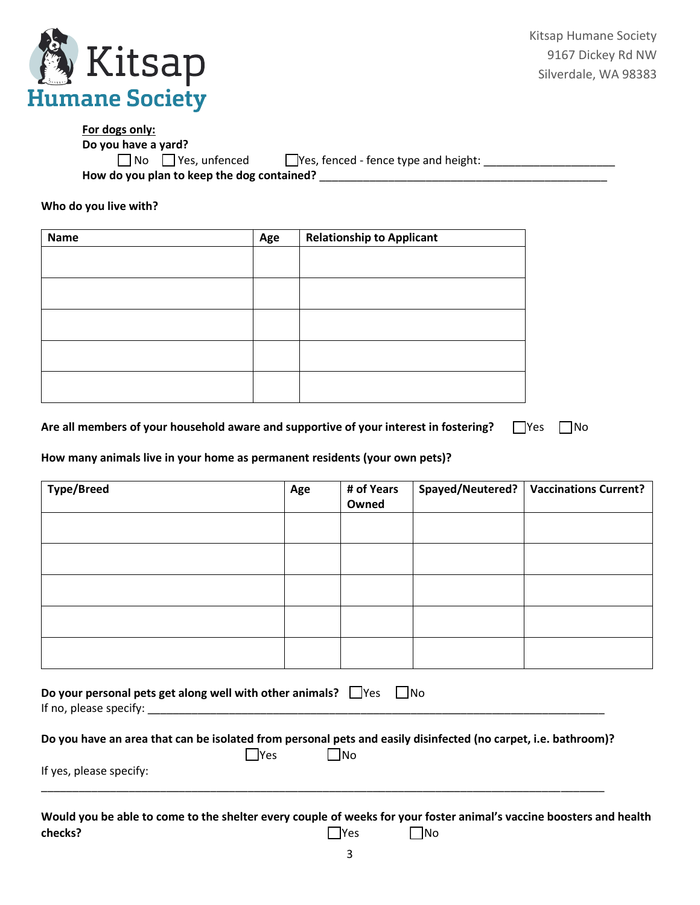

| For dogs only:                             |                                             |
|--------------------------------------------|---------------------------------------------|
| Do you have a yard?                        |                                             |
| $\Box$ No $\Box$ Yes, unfenced             | $\Box$ Yes, fenced - fence type and height: |
| How do you plan to keep the dog contained? |                                             |

**Who do you live with?**

| Name | Age | <b>Relationship to Applicant</b> |
|------|-----|----------------------------------|
|      |     |                                  |
|      |     |                                  |
|      |     |                                  |
|      |     |                                  |
|      |     |                                  |
|      |     |                                  |
|      |     |                                  |
|      |     |                                  |
|      |     |                                  |
|      |     |                                  |

| Are all members of your household aware and supportive of your interest in fostering? $\Box$ Yes $\Box$ No |  |  |
|------------------------------------------------------------------------------------------------------------|--|--|
|------------------------------------------------------------------------------------------------------------|--|--|

#### **How many animals live in your home as permanent residents (your own pets)?**

| <b>Type/Breed</b>                                                                                       | Age | # of Years<br>Owned | Spayed/Neutered? | <b>Vaccinations Current?</b> |
|---------------------------------------------------------------------------------------------------------|-----|---------------------|------------------|------------------------------|
|                                                                                                         |     |                     |                  |                              |
|                                                                                                         |     |                     |                  |                              |
|                                                                                                         |     |                     |                  |                              |
|                                                                                                         |     |                     |                  |                              |
|                                                                                                         |     |                     |                  |                              |
| Do your personal pets get along well with other animals? $\Box$ Yes $\Box$ No<br>If no, please specify: |     |                     |                  |                              |

|  |       | Do you have an area that can be isolated from personal pets and easily disinfected (no carpet, i.e. bathroom)? |
|--|-------|----------------------------------------------------------------------------------------------------------------|
|  | ,IYes | $\Box$ No                                                                                                      |
|  |       |                                                                                                                |

If yes, please specify: \_\_\_\_\_\_\_\_\_\_\_\_\_\_\_\_\_\_\_\_\_\_\_\_\_\_\_\_\_\_\_\_\_\_\_\_\_\_\_\_\_\_\_\_\_\_\_\_\_\_\_\_\_\_\_\_\_\_\_\_\_\_\_\_\_\_\_\_\_\_\_\_\_\_\_\_\_\_\_\_\_\_\_\_\_\_\_\_\_\_

**Would you be able to come to the shelter every couple of weeks for your foster animal's vaccine boosters and health checks?** ☐Yes ☐No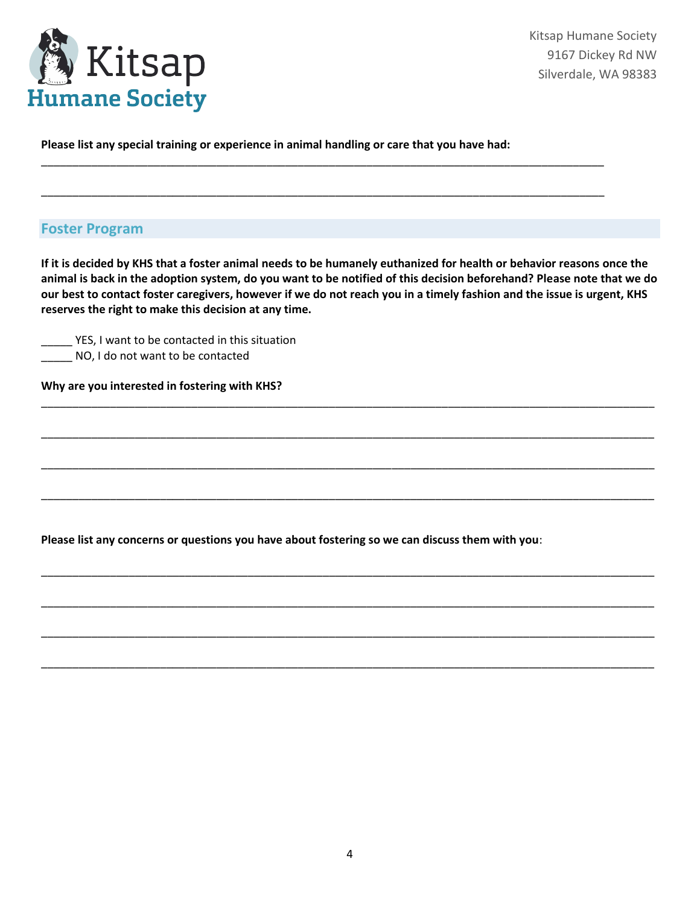

**Please list any special training or experience in animal handling or care that you have had:** 

\_\_\_\_\_\_\_\_\_\_\_\_\_\_\_\_\_\_\_\_\_\_\_\_\_\_\_\_\_\_\_\_\_\_\_\_\_\_\_\_\_\_\_\_\_\_\_\_\_\_\_\_\_\_\_\_\_\_\_\_\_\_\_\_\_\_\_\_\_\_\_\_\_\_\_\_\_\_\_\_\_\_\_\_\_\_\_\_\_\_

\_\_\_\_\_\_\_\_\_\_\_\_\_\_\_\_\_\_\_\_\_\_\_\_\_\_\_\_\_\_\_\_\_\_\_\_\_\_\_\_\_\_\_\_\_\_\_\_\_\_\_\_\_\_\_\_\_\_\_\_\_\_\_\_\_\_\_\_\_\_\_\_\_\_\_\_\_\_\_\_\_\_\_\_\_\_\_\_\_\_

## **Foster Program**

**If it is decided by KHS that a foster animal needs to be humanely euthanized for health or behavior reasons once the animal is back in the adoption system, do you want to be notified of this decision beforehand? Please note that we do our best to contact foster caregivers, however if we do not reach you in a timely fashion and the issue is urgent, KHS reserves the right to make this decision at any time.**

\_\_\_\_\_\_\_\_\_\_\_\_\_\_\_\_\_\_\_\_\_\_\_\_\_\_\_\_\_\_\_\_\_\_\_\_\_\_\_\_\_\_\_\_\_\_\_\_\_\_\_\_\_\_\_\_\_\_\_\_\_\_\_\_\_\_\_\_\_\_\_\_\_\_\_\_\_\_\_\_\_\_\_\_\_\_\_\_\_\_\_\_\_\_\_\_\_\_

\_\_\_\_\_\_\_\_\_\_\_\_\_\_\_\_\_\_\_\_\_\_\_\_\_\_\_\_\_\_\_\_\_\_\_\_\_\_\_\_\_\_\_\_\_\_\_\_\_\_\_\_\_\_\_\_\_\_\_\_\_\_\_\_\_\_\_\_\_\_\_\_\_\_\_\_\_\_\_\_\_\_\_\_\_\_\_\_\_\_\_\_\_\_\_\_\_\_

\_\_\_\_\_\_\_\_\_\_\_\_\_\_\_\_\_\_\_\_\_\_\_\_\_\_\_\_\_\_\_\_\_\_\_\_\_\_\_\_\_\_\_\_\_\_\_\_\_\_\_\_\_\_\_\_\_\_\_\_\_\_\_\_\_\_\_\_\_\_\_\_\_\_\_\_\_\_\_\_\_\_\_\_\_\_\_\_\_\_\_\_\_\_\_\_\_\_

\_\_\_\_\_\_\_\_\_\_\_\_\_\_\_\_\_\_\_\_\_\_\_\_\_\_\_\_\_\_\_\_\_\_\_\_\_\_\_\_\_\_\_\_\_\_\_\_\_\_\_\_\_\_\_\_\_\_\_\_\_\_\_\_\_\_\_\_\_\_\_\_\_\_\_\_\_\_\_\_\_\_\_\_\_\_\_\_\_\_\_\_\_\_\_\_\_\_

\_\_\_\_\_\_\_\_\_\_\_\_\_\_\_\_\_\_\_\_\_\_\_\_\_\_\_\_\_\_\_\_\_\_\_\_\_\_\_\_\_\_\_\_\_\_\_\_\_\_\_\_\_\_\_\_\_\_\_\_\_\_\_\_\_\_\_\_\_\_\_\_\_\_\_\_\_\_\_\_\_\_\_\_\_\_\_\_\_\_\_\_\_\_\_\_\_\_

\_\_\_\_\_\_\_\_\_\_\_\_\_\_\_\_\_\_\_\_\_\_\_\_\_\_\_\_\_\_\_\_\_\_\_\_\_\_\_\_\_\_\_\_\_\_\_\_\_\_\_\_\_\_\_\_\_\_\_\_\_\_\_\_\_\_\_\_\_\_\_\_\_\_\_\_\_\_\_\_\_\_\_\_\_\_\_\_\_\_\_\_\_\_\_\_\_\_

\_\_\_\_\_\_\_\_\_\_\_\_\_\_\_\_\_\_\_\_\_\_\_\_\_\_\_\_\_\_\_\_\_\_\_\_\_\_\_\_\_\_\_\_\_\_\_\_\_\_\_\_\_\_\_\_\_\_\_\_\_\_\_\_\_\_\_\_\_\_\_\_\_\_\_\_\_\_\_\_\_\_\_\_\_\_\_\_\_\_\_\_\_\_\_\_\_\_

\_\_\_\_\_\_\_\_\_\_\_\_\_\_\_\_\_\_\_\_\_\_\_\_\_\_\_\_\_\_\_\_\_\_\_\_\_\_\_\_\_\_\_\_\_\_\_\_\_\_\_\_\_\_\_\_\_\_\_\_\_\_\_\_\_\_\_\_\_\_\_\_\_\_\_\_\_\_\_\_\_\_\_\_\_\_\_\_\_\_\_\_\_\_\_\_\_\_

\_\_\_\_\_ YES, I want to be contacted in this situation

\_\_\_\_\_ NO, I do not want to be contacted

**Why are you interested in fostering with KHS?**

**Please list any concerns or questions you have about fostering so we can discuss them with you**: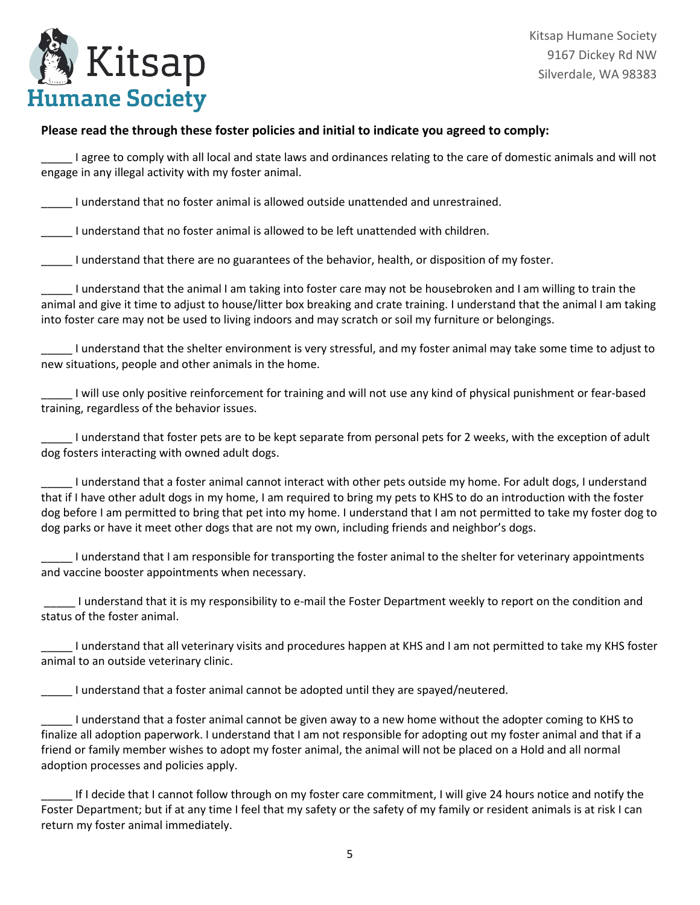

Kitsap Humane Society 9167 Dickey Rd NW Silverdale, WA 98383

#### **Please read the through these foster policies and initial to indicate you agreed to comply:**

I agree to comply with all local and state laws and ordinances relating to the care of domestic animals and will not engage in any illegal activity with my foster animal.

\_\_\_\_\_ I understand that no foster animal is allowed outside unattended and unrestrained.

\_\_\_\_\_ I understand that no foster animal is allowed to be left unattended with children.

\_\_\_\_\_ I understand that there are no guarantees of the behavior, health, or disposition of my foster.

\_\_\_\_\_ I understand that the animal I am taking into foster care may not be housebroken and I am willing to train the animal and give it time to adjust to house/litter box breaking and crate training. I understand that the animal I am taking into foster care may not be used to living indoors and may scratch or soil my furniture or belongings.

\_\_\_\_\_ I understand that the shelter environment is very stressful, and my foster animal may take some time to adjust to new situations, people and other animals in the home.

\_\_\_\_\_ I will use only positive reinforcement for training and will not use any kind of physical punishment or fear-based training, regardless of the behavior issues.

I understand that foster pets are to be kept separate from personal pets for 2 weeks, with the exception of adult dog fosters interacting with owned adult dogs.

\_\_\_\_\_ I understand that a foster animal cannot interact with other pets outside my home. For adult dogs, I understand that if I have other adult dogs in my home, I am required to bring my pets to KHS to do an introduction with the foster dog before I am permitted to bring that pet into my home. I understand that I am not permitted to take my foster dog to dog parks or have it meet other dogs that are not my own, including friends and neighbor's dogs.

\_\_\_\_\_ I understand that I am responsible for transporting the foster animal to the shelter for veterinary appointments and vaccine booster appointments when necessary.

\_\_\_\_\_ I understand that it is my responsibility to e-mail the Foster Department weekly to report on the condition and status of the foster animal.

\_\_\_\_\_ I understand that all veterinary visits and procedures happen at KHS and I am not permitted to take my KHS foster animal to an outside veterinary clinic.

\_\_\_\_\_ I understand that a foster animal cannot be adopted until they are spayed/neutered.

\_\_\_\_\_ I understand that a foster animal cannot be given away to a new home without the adopter coming to KHS to finalize all adoption paperwork. I understand that I am not responsible for adopting out my foster animal and that if a friend or family member wishes to adopt my foster animal, the animal will not be placed on a Hold and all normal adoption processes and policies apply.

\_\_\_\_\_ If I decide that I cannot follow through on my foster care commitment, I will give 24 hours notice and notify the Foster Department; but if at any time I feel that my safety or the safety of my family or resident animals is at risk I can return my foster animal immediately.